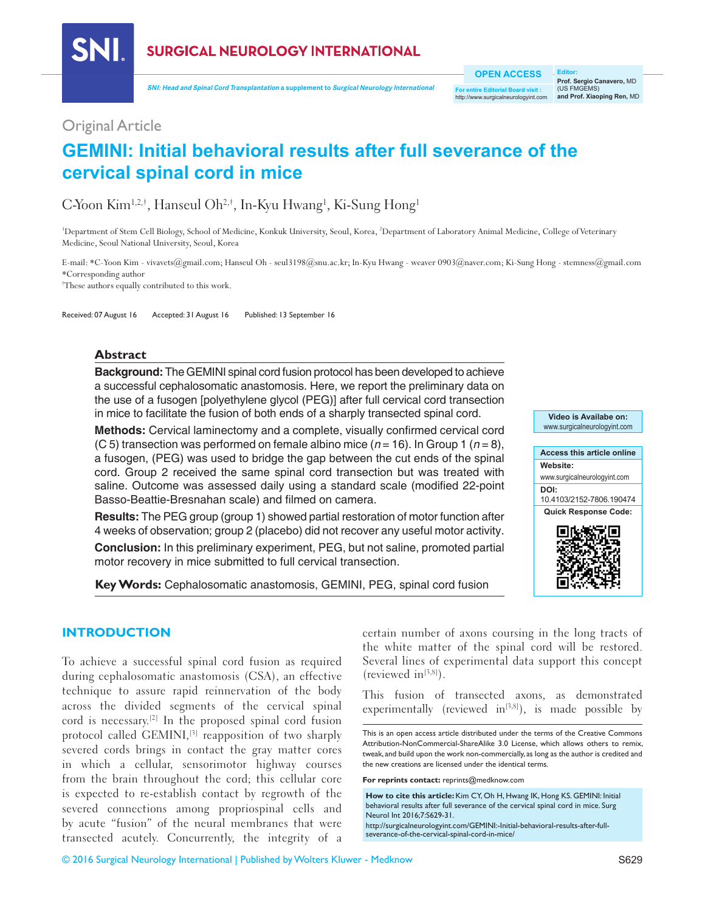

**SURGICAL NEUROLOGY INTERNATIONAL** 

**SNI: Head and Spinal Cord Transplantation a supplement to Surgical Neurology International**

**OPEN ACCESS**

**For entire Editorial Board visit :** http://www.surgicalneurologyint.com

**Editor: Prof. Sergio Canavero,** MD (US FMGEMS) **and Prof. Xiaoping Ren,** MD

## Original Article

# **GEMINI: Initial behavioral results after full severance of the cervical spinal cord in mice**

# C-Yoon Kim<sup>1,2,†</sup>, Hanseul Oh<sup>2,†</sup>, In-Kyu Hwang<sup>1</sup>, Ki-Sung Hong<sup>1</sup>

<sup>1</sup>Department of Stem Cell Biology, School of Medicine, Konkuk University, Seoul, Korea, <sup>2</sup>Department of Laboratory Animal Medicine, College of Veterinary Medicine, Seoul National University, Seoul, Korea

E-mail: \*C-Yoon Kim - vivavets@gmail.com; Hanseul Oh - seul3198@snu.ac.kr; In-Kyu Hwang - weaver 0903@naver.com; Ki-Sung Hong - stemness@gmail.com \*Corresponding author

† These authors equally contributed to this work.

Received: 07 August 16 Accepted: 31 August 16 Published: 13 September 16

#### **Abstract**

**Background:** The GEMINI spinal cord fusion protocol has been developed to achieve a successful cephalosomatic anastomosis. Here, we report the preliminary data on the use of a fusogen [polyethylene glycol (PEG)] after full cervical cord transection in mice to facilitate the fusion of both ends of a sharply transected spinal cord.

**Methods:** Cervical laminectomy and a complete, visually confirmed cervical cord (C 5) transection was performed on female albino mice  $(n = 16)$ . In Group 1  $(n = 8)$ , a fusogen, (PEG) was used to bridge the gap between the cut ends of the spinal cord. Group 2 received the same spinal cord transection but was treated with saline. Outcome was assessed daily using a standard scale (modified 22‑point Basso‑Beattie‑Bresnahan scale) and filmed on camera.

**Results:** The PEG group (group 1) showed partial restoration of motor function after 4 weeks of observation; group 2 (placebo) did not recover any useful motor activity.

**Conclusion:** In this preliminary experiment, PEG, but not saline, promoted partial motor recovery in mice submitted to full cervical transection.

**Key Words:** Cephalosomatic anastomosis, GEMINI, PEG, spinal cord fusion



## **INTRODUCTION**

To achieve a successful spinal cord fusion as required during cephalosomatic anastomosis (CSA), an effective technique to assure rapid reinnervation of the body across the divided segments of the cervical spinal cord is necessary.[2] In the proposed spinal cord fusion protocol called GEMINI,<sup>[3]</sup> reapposition of two sharply severed cords brings in contact the gray matter cores in which a cellular, sensorimotor highway courses from the brain throughout the cord; this cellular core is expected to re‑establish contact by regrowth of the severed connections among propriospinal cells and by acute "fusion" of the neural membranes that were transected acutely. Concurrently, the integrity of a

certain number of axons coursing in the long tracts of the white matter of the spinal cord will be restored. Several lines of experimental data support this concept (reviewed in $[3,8]$ ).

This fusion of transected axons, as demonstrated experimentally (reviewed in<sup>[3,8]</sup>), is made possible by

**For reprints contact:** reprints@medknow.com

http://surgicalneurologyint.com/GEMINI:-Initial-behavioral-results-after-fullseverance-of-the-cervical-spinal-cord-in-mice/

This is an open access article distributed under the terms of the Creative Commons Attribution-NonCommercial-ShareAlike 3.0 License, which allows others to remix, tweak, and build upon the work non-commercially, as long as the author is credited and the new creations are licensed under the identical terms.

**How to cite this article:** Kim CY, Oh H, Hwang IK, Hong KS. GEMINI: Initial behavioral results after full severance of the cervical spinal cord in mice. Surg Neurol Int 2016;7:S629-31.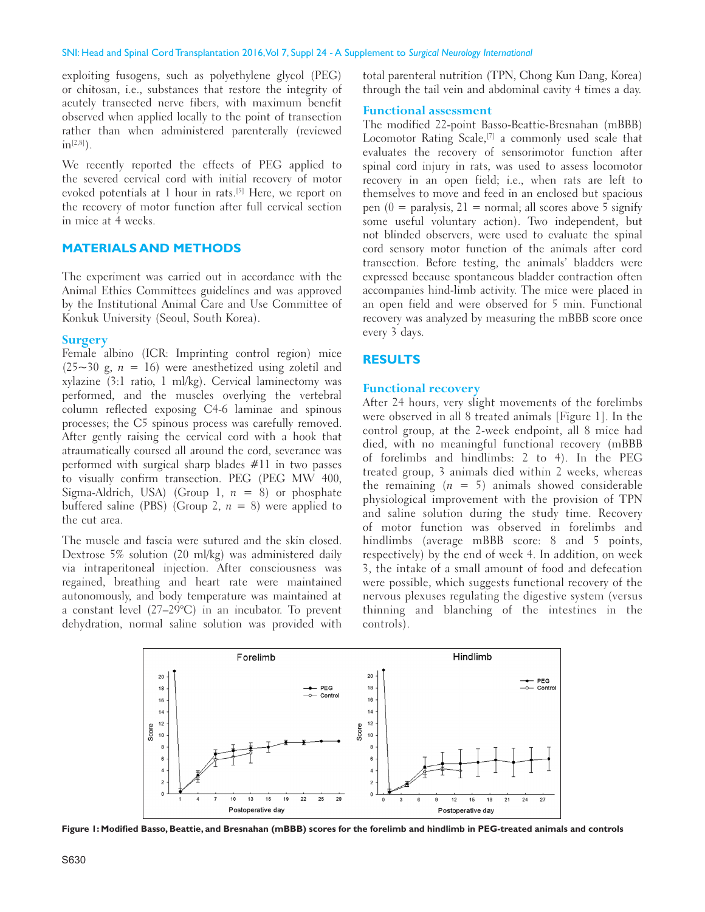exploiting fusogens, such as polyethylene glycol (PEG) or chitosan, i.e., substances that restore the integrity of acutely transected nerve fibers, with maximum benefit observed when applied locally to the point of transection rather than when administered parenterally (reviewed  $in^{{[2,8]}}$ ).

We recently reported the effects of PEG applied to the severed cervical cord with initial recovery of motor evoked potentials at 1 hour in rats.<sup>[5]</sup> Here, we report on the recovery of motor function after full cervical section in mice at 4 weeks.

#### **MATERIALS AND METHODS**

The experiment was carried out in accordance with the Animal Ethics Committees guidelines and was approved by the Institutional Animal Care and Use Committee of Konkuk University (Seoul, South Korea).

#### **Surgery**

Female albino (ICR: Imprinting control region) mice  $(25~30~g, n = 16)$  were anesthetized using zoletil and xylazine (3:1 ratio, 1 ml/kg). Cervical laminectomy was performed, and the muscles overlying the vertebral column reflected exposing C4‑6 laminae and spinous processes; the C5 spinous process was carefully removed. After gently raising the cervical cord with a hook that atraumatically coursed all around the cord, severance was performed with surgical sharp blades #11 in two passes to visually confirm transection. PEG (PEG MW 400, Sigma-Aldrich, USA) (Group 1,  $n = 8$ ) or phosphate buffered saline (PBS) (Group 2,  $n = 8$ ) were applied to the cut area.

The muscle and fascia were sutured and the skin closed. Dextrose 5% solution (20 ml/kg) was administered daily via intraperitoneal injection. After consciousness was regained, breathing and heart rate were maintained autonomously, and body temperature was maintained at a constant level (27–29°C) in an incubator. To prevent dehydration, normal saline solution was provided with total parenteral nutrition (TPN, Chong Kun Dang, Korea) through the tail vein and abdominal cavity 4 times a day.

#### **Functional assessment**

The modified 22‑point Basso‑Beattie‑Bresnahan (mBBB) Locomotor Rating Scale,<sup>[7]</sup> a commonly used scale that evaluates the recovery of sensorimotor function after spinal cord injury in rats, was used to assess locomotor recovery in an open field; i.e., when rats are left to themselves to move and feed in an enclosed but spacious pen  $(0 =$  paralysis,  $21 =$  normal; all scores above 5 signify some useful voluntary action). Two independent, but not blinded observers, were used to evaluate the spinal cord sensory motor function of the animals after cord transection. Before testing, the animals' bladders were expressed because spontaneous bladder contraction often accompanies hind-limb activity. The mice were placed in an open field and were observed for 5 min. Functional recovery was analyzed by measuring the mBBB score once every 3 days.

#### **RESULTS**

#### **Functional recovery**

After 24 hours, very slight movements of the forelimbs were observed in all 8 treated animals [Figure 1]. In the control group, at the 2‑week endpoint, all 8 mice had died, with no meaningful functional recovery (mBBB of forelimbs and hindlimbs: 2 to 4). In the PEG treated group, 3 animals died within 2 weeks, whereas the remaining  $(n = 5)$  animals showed considerable physiological improvement with the provision of TPN and saline solution during the study time. Recovery of motor function was observed in forelimbs and hindlimbs (average mBBB score: 8 and 5 points, respectively) by the end of week 4. In addition, on week 3, the intake of a small amount of food and defecation were possible, which suggests functional recovery of the nervous plexuses regulating the digestive system (versus thinning and blanching of the intestines in the controls).



Figure 1: Modified Basso, Beattie, and Bresnahan (mBBB) scores for the forelimb and hindlimb in PEG-treated animals and controls